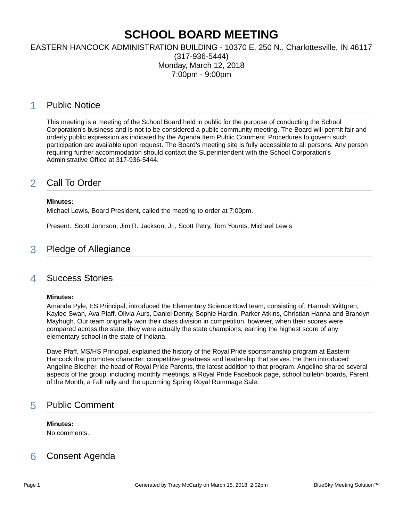# **SCHOOL BOARD MEETING**

### EASTERN HANCOCK ADMINISTRATION BUILDING - 10370 E. 250 N., Charlottesville, IN 46117 (317-936-5444) Monday, March 12, 2018 7:00pm - 9:00pm

### 1 Public Notice

This meeting is a meeting of the School Board held in public for the purpose of conducting the School Corporation's business and is not to be considered a public community meeting. The Board will permit fair and orderly public expression as indicated by the Agenda Item Public Comment. Procedures to govern such participation are available upon request. The Board's meeting site is fully accessible to all persons. Any person requiring further accommodation should contact the Superintendent with the School Corporation's Administrative Office at 317-936-5444.

## 2 Call To Order

#### **Minutes:**

Michael Lewis, Board President, called the meeting to order at 7:00pm.

Present: Scott Johnson, Jim R. Jackson, Jr., Scott Petry, Tom Younts, Michael Lewis

# 3 Pledge of Allegiance

### 4 Success Stories

#### **Minutes:**

Amanda Pyle, ES Principal, introduced the Elementary Science Bowl team, consisting of: Hannah Wittgren, Kaylee Swan, Ava Pfaff, Olivia Aurs, Daniel Denny, Sophie Hardin, Parker Atkins, Christian Hanna and Brandyn Mayhugh. Our team originally won their class division in competition, however, when their scores were compared across the state, they were actually the state champions, earning the highest score of any elementary school in the state of Indiana.

Dave Pfaff, MS/HS Principal, explained the history of the Royal Pride sportsmanship program at Eastern Hancock that promotes character, competitive greatness and leadership that serves. He then introduced Angeline Blocher, the head of Royal Pride Parents, the latest addition to that program. Angeline shared several aspects of the group, including monthly meetings, a Royal Pride Facebook page, school bulletin boards, Parent of the Month, a Fall rally and the upcoming Spring Royal Rummage Sale.

# 5 Public Comment

#### **Minutes:**

No comments.

# 6 Consent Agenda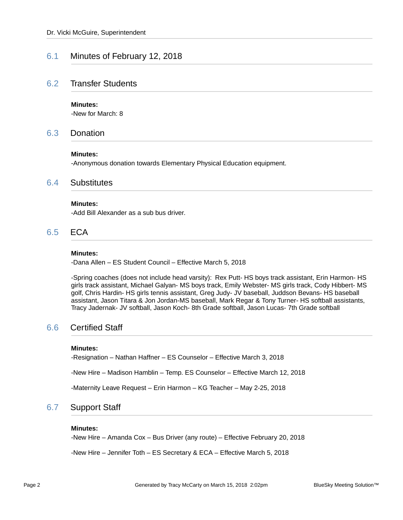### 6.1 Minutes of February 12, 2018

### 6.2 Transfer Students

#### **Minutes:**

-New for March: 8

### 6.3 Donation

#### **Minutes:**

-Anonymous donation towards Elementary Physical Education equipment.

### 6.4 Substitutes

#### **Minutes:**

-Add Bill Alexander as a sub bus driver.

### 6.5 ECA

#### **Minutes:**

-Dana Allen – ES Student Council – Effective March 5, 2018

-Spring coaches (does not include head varsity): Rex Putt- HS boys track assistant, Erin Harmon- HS girls track assistant, Michael Galyan- MS boys track, Emily Webster- MS girls track, Cody Hibbert- MS golf, Chris Hardin- HS girls tennis assistant, Greg Judy- JV baseball, Juddson Bevans- HS baseball assistant, Jason Titara & Jon Jordan-MS baseball, Mark Regar & Tony Turner- HS softball assistants, Tracy Jadernak- JV softball, Jason Koch- 8th Grade softball, Jason Lucas- 7th Grade softball

### 6.6 Certified Staff

#### **Minutes:**

-Resignation – Nathan Haffner – ES Counselor – Effective March 3, 2018

-New Hire – Madison Hamblin – Temp. ES Counselor – Effective March 12, 2018

-Maternity Leave Request – Erin Harmon – KG Teacher – May 2-25, 2018

### 6.7 Support Staff

#### **Minutes:**

-New Hire – Amanda Cox – Bus Driver (any route) – Effective February 20, 2018

-New Hire – Jennifer Toth – ES Secretary & ECA – Effective March 5, 2018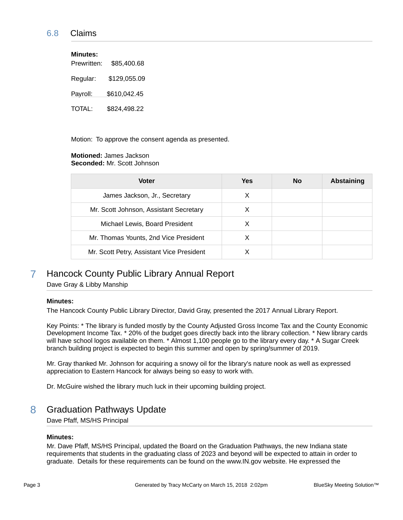### 6.8 Claims

| <b>Minutes:</b> |              |
|-----------------|--------------|
| Prewritten:     | \$85,400.68  |
| Regular:        | \$129,055.09 |
| Payroll:        | \$610,042.45 |
| TOTAL:          | \$824,498.22 |

Motion: To approve the consent agenda as presented.

#### **Motioned:** James Jackson **Seconded:** Mr. Scott Johnson

| <b>Voter</b>                              | Yes | <b>No</b> | <b>Abstaining</b> |
|-------------------------------------------|-----|-----------|-------------------|
| James Jackson, Jr., Secretary             | х   |           |                   |
| Mr. Scott Johnson, Assistant Secretary    | X   |           |                   |
| Michael Lewis, Board President            |     |           |                   |
| Mr. Thomas Younts, 2nd Vice President     | X   |           |                   |
| Mr. Scott Petry, Assistant Vice President |     |           |                   |

# 7 Hancock County Public Library Annual Report

Dave Gray & Libby Manship

#### **Minutes:**

The Hancock County Public Library Director, David Gray, presented the 2017 Annual Library Report.

Key Points: \* The library is funded mostly by the County Adjusted Gross Income Tax and the County Economic Development Income Tax. \* 20% of the budget goes directly back into the library collection. \* New library cards will have school logos available on them. \* Almost 1,100 people go to the library every day. \* A Sugar Creek branch building project is expected to begin this summer and open by spring/summer of 2019.

Mr. Gray thanked Mr. Johnson for acquiring a snowy oil for the library's nature nook as well as expressed appreciation to Eastern Hancock for always being so easy to work with.

Dr. McGuire wished the library much luck in their upcoming building project.

### 8 Graduation Pathways Update

Dave Pfaff, MS/HS Principal

#### **Minutes:**

Mr. Dave Pfaff, MS/HS Principal, updated the Board on the Graduation Pathways, the new Indiana state requirements that students in the graduating class of 2023 and beyond will be expected to attain in order to graduate. Details for these requirements can be found on the www.IN.gov website. He expressed the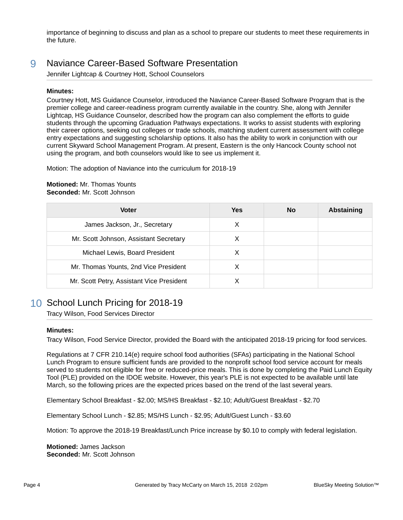importance of beginning to discuss and plan as a school to prepare our students to meet these requirements in the future.

### 9 Naviance Career-Based Software Presentation

Jennifer Lightcap & Courtney Hott, School Counselors

#### **Minutes:**

Courtney Hott, MS Guidance Counselor, introduced the Naviance Career-Based Software Program that is the premier college and career-readiness program currently available in the country. She, along with Jennifer Lightcap, HS Guidance Counselor, described how the program can also complement the efforts to guide students through the upcoming Graduation Pathways expectations. It works to assist students with exploring their career options, seeking out colleges or trade schools, matching student current assessment with college entry expectations and suggesting scholarship options. It also has the ability to work in conjunction with our current Skyward School Management Program. At present, Eastern is the only Hancock County school not using the program, and both counselors would like to see us implement it.

Motion: The adoption of Naviance into the curriculum for 2018-19

#### **Motioned:** Mr. Thomas Younts **Seconded:** Mr. Scott Johnson

| <b>Voter</b>                              | Yes | <b>No</b> | Abstaining |
|-------------------------------------------|-----|-----------|------------|
| James Jackson, Jr., Secretary             | X   |           |            |
| Mr. Scott Johnson, Assistant Secretary    | X   |           |            |
| Michael Lewis, Board President            | X   |           |            |
| Mr. Thomas Younts, 2nd Vice President     | X   |           |            |
| Mr. Scott Petry, Assistant Vice President |     |           |            |

# 10 School Lunch Pricing for 2018-19

Tracy Wilson, Food Services Director

### **Minutes:**

Tracy Wilson, Food Service Director, provided the Board with the anticipated 2018-19 pricing for food services.

Regulations at 7 CFR 210.14(e) require school food authorities (SFAs) participating in the National School Lunch Program to ensure sufficient funds are provided to the nonprofit school food service account for meals served to students not eligible for free or reduced-price meals. This is done by completing the Paid Lunch Equity Tool (PLE) provided on the IDOE website. However, this year's PLE is not expected to be available until late March, so the following prices are the expected prices based on the trend of the last several years.

Elementary School Breakfast - \$2.00; MS/HS Breakfast - \$2.10; Adult/Guest Breakfast - \$2.70

Elementary School Lunch - \$2.85; MS/HS Lunch - \$2.95; Adult/Guest Lunch - \$3.60

Motion: To approve the 2018-19 Breakfast/Lunch Price increase by \$0.10 to comply with federal legislation.

**Motioned:** James Jackson **Seconded:** Mr. Scott Johnson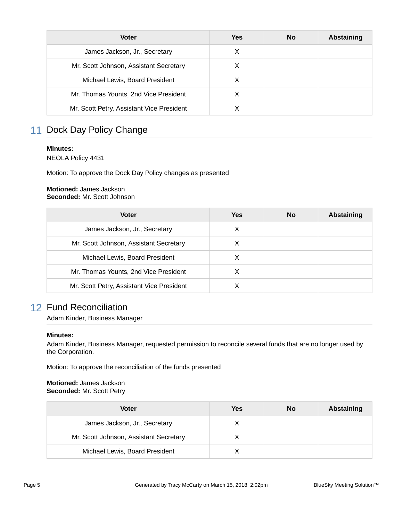| <b>Voter</b>                              | <b>Yes</b> | <b>No</b> | Abstaining |
|-------------------------------------------|------------|-----------|------------|
| James Jackson, Jr., Secretary             | X          |           |            |
| Mr. Scott Johnson, Assistant Secretary    | X          |           |            |
| Michael Lewis, Board President            | X          |           |            |
| Mr. Thomas Younts, 2nd Vice President     |            |           |            |
| Mr. Scott Petry, Assistant Vice President |            |           |            |

# 11 Dock Day Policy Change

#### **Minutes:**

NEOLA Policy 4431

Motion: To approve the Dock Day Policy changes as presented

#### **Motioned:** James Jackson **Seconded:** Mr. Scott Johnson

| <b>Voter</b>                              | Yes | <b>No</b> | Abstaining |
|-------------------------------------------|-----|-----------|------------|
| James Jackson, Jr., Secretary             | X   |           |            |
| Mr. Scott Johnson, Assistant Secretary    | X   |           |            |
| Michael Lewis, Board President            |     |           |            |
| Mr. Thomas Younts, 2nd Vice President     | X   |           |            |
| Mr. Scott Petry, Assistant Vice President |     |           |            |

# 12 Fund Reconciliation

Adam Kinder, Business Manager

### **Minutes:**

Adam Kinder, Business Manager, requested permission to reconcile several funds that are no longer used by the Corporation.

Motion: To approve the reconciliation of the funds presented

#### **Motioned:** James Jackson **Seconded:** Mr. Scott Petry

| Voter                                  | Yes | <b>No</b> | <b>Abstaining</b> |
|----------------------------------------|-----|-----------|-------------------|
| James Jackson, Jr., Secretary          |     |           |                   |
| Mr. Scott Johnson, Assistant Secretary |     |           |                   |
| Michael Lewis, Board President         |     |           |                   |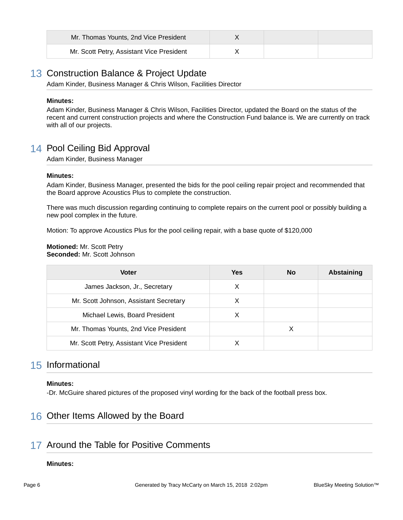| Mr. Thomas Younts, 2nd Vice President     |  |  |
|-------------------------------------------|--|--|
| Mr. Scott Petry, Assistant Vice President |  |  |

# 13 Construction Balance & Project Update

Adam Kinder, Business Manager & Chris Wilson, Facilities Director

#### **Minutes:**

Adam Kinder, Business Manager & Chris Wilson, Facilities Director, updated the Board on the status of the recent and current construction projects and where the Construction Fund balance is. We are currently on track with all of our projects.

# 14 Pool Ceiling Bid Approval

Adam Kinder, Business Manager

#### **Minutes:**

Adam Kinder, Business Manager, presented the bids for the pool ceiling repair project and recommended that the Board approve Acoustics Plus to complete the construction.

There was much discussion regarding continuing to complete repairs on the current pool or possibly building a new pool complex in the future.

Motion: To approve Acoustics Plus for the pool ceiling repair, with a base quote of \$120,000

**Motioned:** Mr. Scott Petry **Seconded:** Mr. Scott Johnson

| <b>Voter</b>                              | Yes | No | Abstaining |
|-------------------------------------------|-----|----|------------|
| James Jackson, Jr., Secretary             | X   |    |            |
| Mr. Scott Johnson, Assistant Secretary    | X   |    |            |
| Michael Lewis, Board President            | X   |    |            |
| Mr. Thomas Younts, 2nd Vice President     |     | X  |            |
| Mr. Scott Petry, Assistant Vice President |     |    |            |

# 15 Informational

### **Minutes:**

-Dr. McGuire shared pictures of the proposed vinyl wording for the back of the football press box.

# 16 Other Items Allowed by the Board

# 17 Around the Table for Positive Comments

### **Minutes:**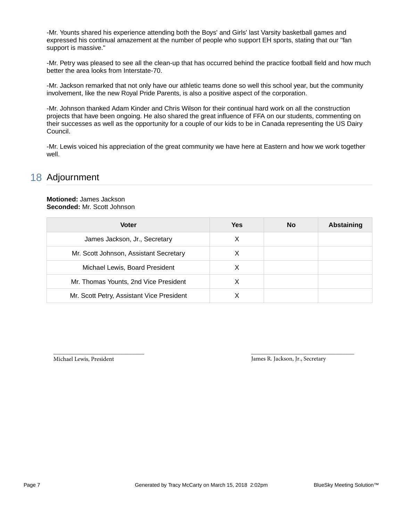-Mr. Younts shared his experience attending both the Boys' and Girls' last Varsity basketball games and expressed his continual amazement at the number of people who support EH sports, stating that our "fan support is massive."

-Mr. Petry was pleased to see all the clean-up that has occurred behind the practice football field and how much better the area looks from Interstate-70.

-Mr. Jackson remarked that not only have our athletic teams done so well this school year, but the community involvement, like the new Royal Pride Parents, is also a positive aspect of the corporation.

-Mr. Johnson thanked Adam Kinder and Chris Wilson for their continual hard work on all the construction projects that have been ongoing. He also shared the great influence of FFA on our students, commenting on their successes as well as the opportunity for a couple of our kids to be in Canada representing the US Dairy Council.

-Mr. Lewis voiced his appreciation of the great community we have here at Eastern and how we work together well.

## 18 Adjournment

#### **Motioned:** James Jackson **Seconded:** Mr. Scott Johnson

| <b>Voter</b>                              | <b>Yes</b> | <b>No</b> | <b>Abstaining</b> |
|-------------------------------------------|------------|-----------|-------------------|
| James Jackson, Jr., Secretary             | X          |           |                   |
| Mr. Scott Johnson, Assistant Secretary    | X          |           |                   |
| Michael Lewis, Board President            |            |           |                   |
| Mr. Thomas Younts, 2nd Vice President     |            |           |                   |
| Mr. Scott Petry, Assistant Vice President |            |           |                   |

\_\_\_\_\_\_\_\_\_\_\_\_\_\_\_\_\_\_\_\_\_\_\_\_\_\_\_\_\_\_ Michael Lewis, President

\_\_\_\_\_\_\_\_\_\_\_\_\_\_\_\_\_\_\_\_\_\_\_\_\_\_\_\_\_\_\_\_\_\_ James R. Jackson, Jr., Secretary